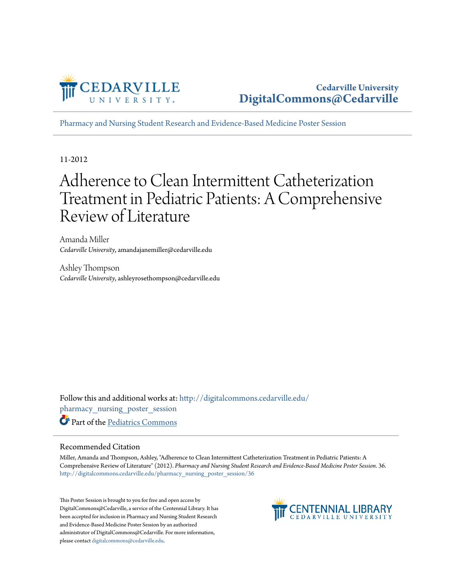

[Pharmacy and Nursing Student Research and Evidence-Based Medicine Poster Session](http://digitalcommons.cedarville.edu/pharmacy_nursing_poster_session?utm_source=digitalcommons.cedarville.edu%2Fpharmacy_nursing_poster_session%2F36&utm_medium=PDF&utm_campaign=PDFCoverPages)

11-2012

#### Adherence to Clean Intermittent Catheterization Treatment in Pediatric Patients: A Comprehensive Review of Literature

Amanda Miller *Cedarville University*, amandajanemiller@cedarville.edu

Ashley Thompson *Cedarville University*, ashleyrosethompson@cedarville.edu

Follow this and additional works at: [http://digitalcommons.cedarville.edu/](http://digitalcommons.cedarville.edu/pharmacy_nursing_poster_session?utm_source=digitalcommons.cedarville.edu%2Fpharmacy_nursing_poster_session%2F36&utm_medium=PDF&utm_campaign=PDFCoverPages) [pharmacy\\_nursing\\_poster\\_session](http://digitalcommons.cedarville.edu/pharmacy_nursing_poster_session?utm_source=digitalcommons.cedarville.edu%2Fpharmacy_nursing_poster_session%2F36&utm_medium=PDF&utm_campaign=PDFCoverPages) Part of the [Pediatrics Commons](http://network.bepress.com/hgg/discipline/700?utm_source=digitalcommons.cedarville.edu%2Fpharmacy_nursing_poster_session%2F36&utm_medium=PDF&utm_campaign=PDFCoverPages)

#### Recommended Citation

Miller, Amanda and Thompson, Ashley, "Adherence to Clean Intermittent Catheterization Treatment in Pediatric Patients: A Comprehensive Review of Literature" (2012). *Pharmacy and Nursing Student Research and Evidence-Based Medicine Poster Session*. 36. [http://digitalcommons.cedarville.edu/pharmacy\\_nursing\\_poster\\_session/36](http://digitalcommons.cedarville.edu/pharmacy_nursing_poster_session/36?utm_source=digitalcommons.cedarville.edu%2Fpharmacy_nursing_poster_session%2F36&utm_medium=PDF&utm_campaign=PDFCoverPages)

This Poster Session is brought to you for free and open access by DigitalCommons@Cedarville, a service of the Centennial Library. It has been accepted for inclusion in Pharmacy and Nursing Student Research and Evidence-Based Medicine Poster Session by an authorized administrator of DigitalCommons@Cedarville. For more information, please contact [digitalcommons@cedarville.edu.](mailto:digitalcommons@cedarville.edu)